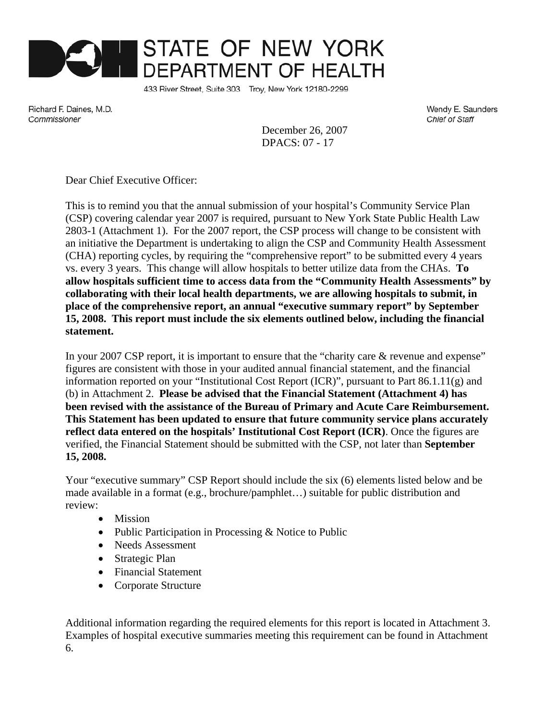

433 River Street, Suite 303 Troy, New York 12180-2299

Richard F. Daines, M.D. Commissioner

Wendy E. Saunders Chief of Staff

December 26, 2007 DPACS: 07 - 17

Dear Chief Executive Officer:

This is to remind you that the annual submission of your hospital's Community Service Plan (CSP) covering calendar year 2007 is required, pursuant to New York State Public Health Law 2803-1 (Attachment 1). For the 2007 report, the CSP process will change to be consistent with an initiative the Department is undertaking to align the CSP and Community Health Assessment (CHA) reporting cycles, by requiring the "comprehensive report" to be submitted every 4 years vs. every 3 years. This change will allow hospitals to better utilize data from the CHAs. **To allow hospitals sufficient time to access data from the "Community Health Assessments" by collaborating with their local health departments, we are allowing hospitals to submit, in place of the comprehensive report, an annual "executive summary report" by September 15, 2008. This report must include the six elements outlined below, including the financial statement.** 

In your 2007 CSP report, it is important to ensure that the "charity care & revenue and expense" figures are consistent with those in your audited annual financial statement, and the financial information reported on your "Institutional Cost Report (ICR)", pursuant to Part 86.1.11(g) and (b) in Attachment 2. **Please be advised that the Financial Statement (Attachment 4) has been revised with the assistance of the Bureau of Primary and Acute Care Reimbursement. This Statement has been updated to ensure that future community service plans accurately reflect data entered on the hospitals' Institutional Cost Report (ICR)**. Once the figures are verified, the Financial Statement should be submitted with the CSP, not later than **September 15, 2008.**

Your "executive summary" CSP Report should include the six (6) elements listed below and be made available in a format (e.g., brochure/pamphlet…) suitable for public distribution and review:

- Mission
- Public Participation in Processing & Notice to Public
- Needs Assessment
- Strategic Plan
- Financial Statement
- Corporate Structure

Additional information regarding the required elements for this report is located in Attachment 3. Examples of hospital executive summaries meeting this requirement can be found in Attachment 6.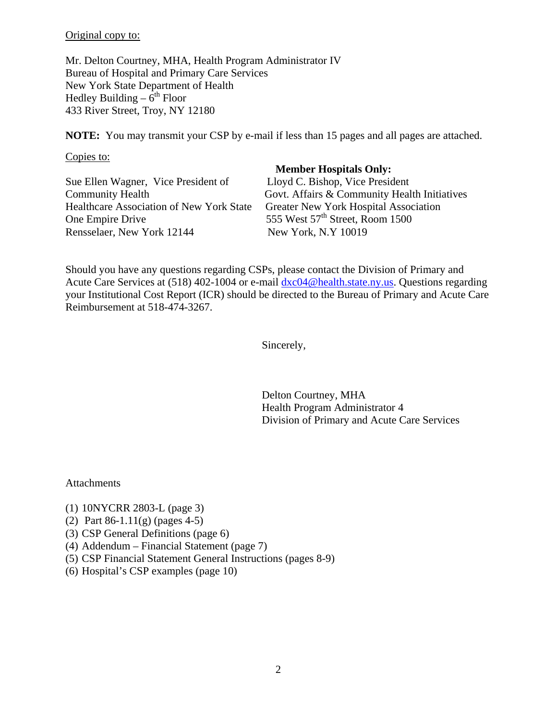Original copy to:

Mr. Delton Courtney, MHA, Health Program Administrator IV Bureau of Hospital and Primary Care Services New York State Department of Health Hedley Building –  $6<sup>th</sup>$  Floor 433 River Street, Troy, NY 12180

**NOTE:** You may transmit your CSP by e-mail if less than 15 pages and all pages are attached.

Copies to:

Sue Ellen Wagner, Vice President of Lloyd C. Bishop, Vice President Healthcare Association of New York State One Empire Drive 555 West 57<sup>th</sup> Street, Room 1500 Rensselaer, New York 12144 New York, N.Y 10019

#### **Member Hospitals Only:**

Community Health<br>
Govt. Affairs & Community Health Initiatives<br>
Health Conserved Beath Initiatives<br>
Greater New York Hospital Association

Should you have any questions regarding CSPs, please contact the Division of Primary and Acute Care Services at (518) 402-1004 or e-mail  $dxc04@health.state.ny.us. Questions regarding$ your Institutional Cost Report (ICR) should be directed to the Bureau of Primary and Acute Care Reimbursement at 518-474-3267.

Sincerely,

Delton Courtney, MHA Health Program Administrator 4 Division of Primary and Acute Care Services

**Attachments** 

- (1) 10NYCRR 2803-L (page 3)
- (2) Part 86-1.11(g) (pages 4-5)
- (3) CSP General Definitions (page 6)
- (4) Addendum Financial Statement (page 7)
- (5) CSP Financial Statement General Instructions (pages 8-9)
- (6) Hospital's CSP examples (page 10)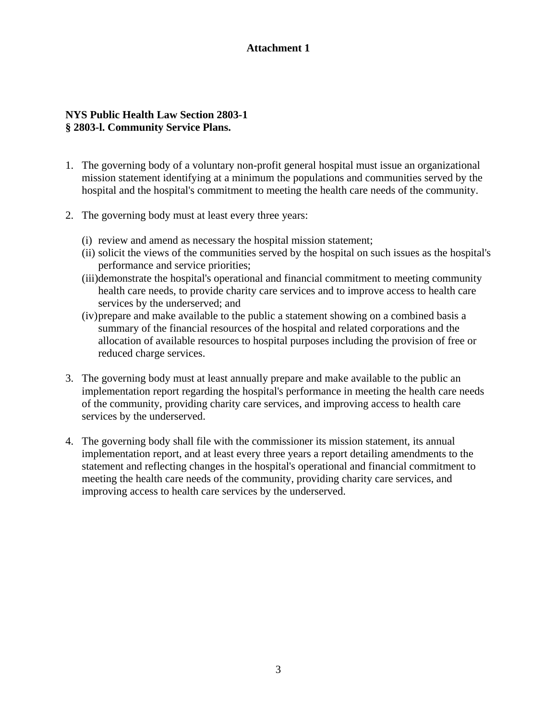## **NYS Public Health Law Section 2803-1 § 2803-l. Community Service Plans.**

- 1. The governing body of a voluntary non-profit general hospital must issue an organizational mission statement identifying at a minimum the populations and communities served by the hospital and the hospital's commitment to meeting the health care needs of the community.
- 2. The governing body must at least every three years:
	- (i) review and amend as necessary the hospital mission statement;
	- (ii) solicit the views of the communities served by the hospital on such issues as the hospital's performance and service priorities;
	- (iii)demonstrate the hospital's operational and financial commitment to meeting community health care needs, to provide charity care services and to improve access to health care services by the underserved; and
	- (iv)prepare and make available to the public a statement showing on a combined basis a summary of the financial resources of the hospital and related corporations and the allocation of available resources to hospital purposes including the provision of free or reduced charge services.
- 3. The governing body must at least annually prepare and make available to the public an implementation report regarding the hospital's performance in meeting the health care needs of the community, providing charity care services, and improving access to health care services by the underserved.
- 4. The governing body shall file with the commissioner its mission statement, its annual implementation report, and at least every three years a report detailing amendments to the statement and reflecting changes in the hospital's operational and financial commitment to meeting the health care needs of the community, providing charity care services, and improving access to health care services by the underserved.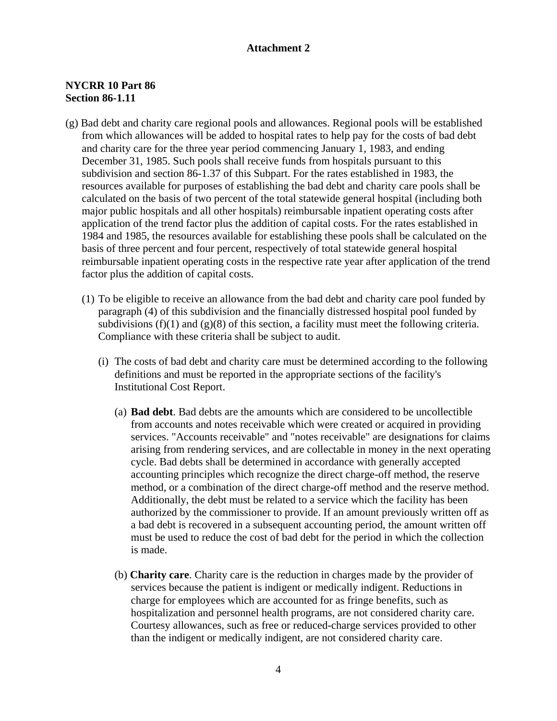## **NYCRR 10 Part 86 Section 86-1.11**

- (g) Bad debt and charity care regional pools and allowances. Regional pools will be established from which allowances will be added to hospital rates to help pay for the costs of bad debt and charity care for the three year period commencing January 1, 1983, and ending December 31, 1985. Such pools shall receive funds from hospitals pursuant to this subdivision and section 86-1.37 of this Subpart. For the rates established in 1983, the resources available for purposes of establishing the bad debt and charity care pools shall be calculated on the basis of two percent of the total statewide general hospital (including both major public hospitals and all other hospitals) reimbursable inpatient operating costs after application of the trend factor plus the addition of capital costs. For the rates established in 1984 and 1985, the resources available for establishing these pools shall be calculated on the basis of three percent and four percent, respectively of total statewide general hospital reimbursable inpatient operating costs in the respective rate year after application of the trend factor plus the addition of capital costs.
	- (1) To be eligible to receive an allowance from the bad debt and charity care pool funded by paragraph (4) of this subdivision and the financially distressed hospital pool funded by subdivisions  $(f)(1)$  and  $(g)(8)$  of this section, a facility must meet the following criteria. Compliance with these criteria shall be subject to audit.
		- (i) The costs of bad debt and charity care must be determined according to the following definitions and must be reported in the appropriate sections of the facility's Institutional Cost Report.
			- (a) **Bad debt**. Bad debts are the amounts which are considered to be uncollectible from accounts and notes receivable which were created or acquired in providing services. "Accounts receivable" and "notes receivable" are designations for claims arising from rendering services, and are collectable in money in the next operating cycle. Bad debts shall be determined in accordance with generally accepted accounting principles which recognize the direct charge-off method, the reserve method, or a combination of the direct charge-off method and the reserve method. Additionally, the debt must be related to a service which the facility has been authorized by the commissioner to provide. If an amount previously written off as a bad debt is recovered in a subsequent accounting period, the amount written off must be used to reduce the cost of bad debt for the period in which the collection is made.
			- (b) **Charity care**. Charity care is the reduction in charges made by the provider of services because the patient is indigent or medically indigent. Reductions in charge for employees which are accounted for as fringe benefits, such as hospitalization and personnel health programs, are not considered charity care. Courtesy allowances, such as free or reduced-charge services provided to other than the indigent or medically indigent, are not considered charity care.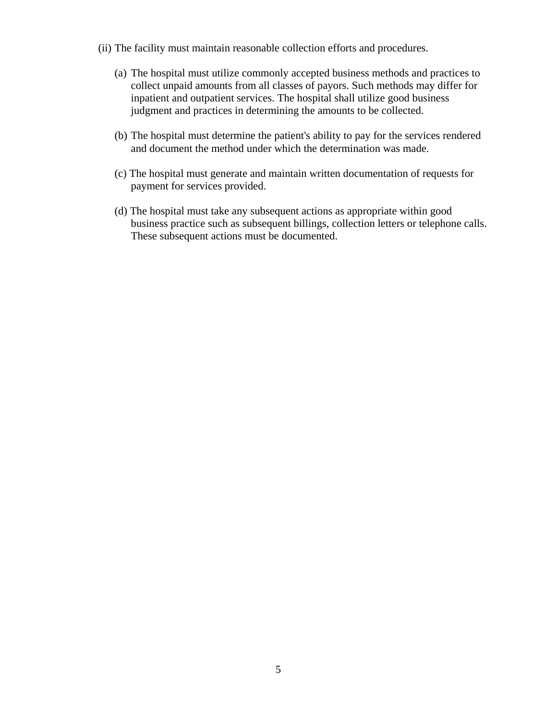- (ii) The facility must maintain reasonable collection efforts and procedures.
	- (a) The hospital must utilize commonly accepted business methods and practices to collect unpaid amounts from all classes of payors. Such methods may differ for inpatient and outpatient services. The hospital shall utilize good business judgment and practices in determining the amounts to be collected.
	- (b) The hospital must determine the patient's ability to pay for the services rendered and document the method under which the determination was made.
	- (c) The hospital must generate and maintain written documentation of requests for payment for services provided.
	- (d) The hospital must take any subsequent actions as appropriate within good business practice such as subsequent billings, collection letters or telephone calls. These subsequent actions must be documented.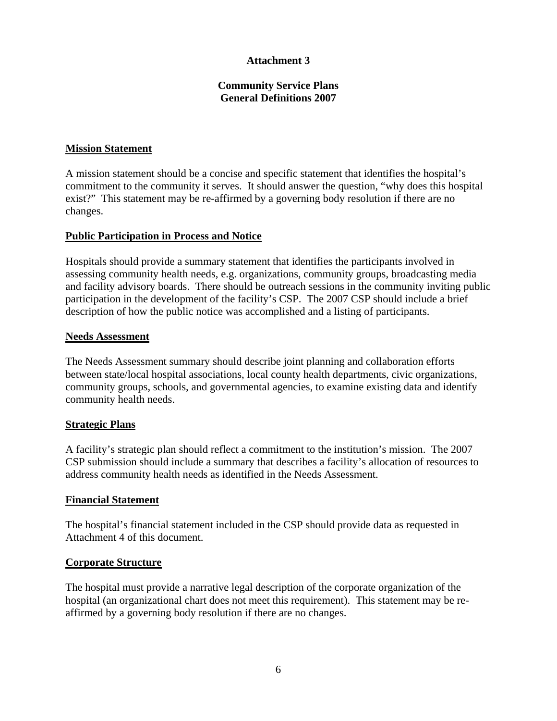## **Community Service Plans General Definitions 2007**

## **Mission Statement**

A mission statement should be a concise and specific statement that identifies the hospital's commitment to the community it serves. It should answer the question, "why does this hospital exist?" This statement may be re-affirmed by a governing body resolution if there are no changes.

### **Public Participation in Process and Notice**

Hospitals should provide a summary statement that identifies the participants involved in assessing community health needs, e.g. organizations, community groups, broadcasting media and facility advisory boards. There should be outreach sessions in the community inviting public participation in the development of the facility's CSP. The 2007 CSP should include a brief description of how the public notice was accomplished and a listing of participants.

#### **Needs Assessment**

The Needs Assessment summary should describe joint planning and collaboration efforts between state/local hospital associations, local county health departments, civic organizations, community groups, schools, and governmental agencies, to examine existing data and identify community health needs.

## **Strategic Plans**

A facility's strategic plan should reflect a commitment to the institution's mission. The 2007 CSP submission should include a summary that describes a facility's allocation of resources to address community health needs as identified in the Needs Assessment.

#### **Financial Statement**

The hospital's financial statement included in the CSP should provide data as requested in Attachment 4 of this document.

#### **Corporate Structure**

The hospital must provide a narrative legal description of the corporate organization of the hospital (an organizational chart does not meet this requirement). This statement may be reaffirmed by a governing body resolution if there are no changes.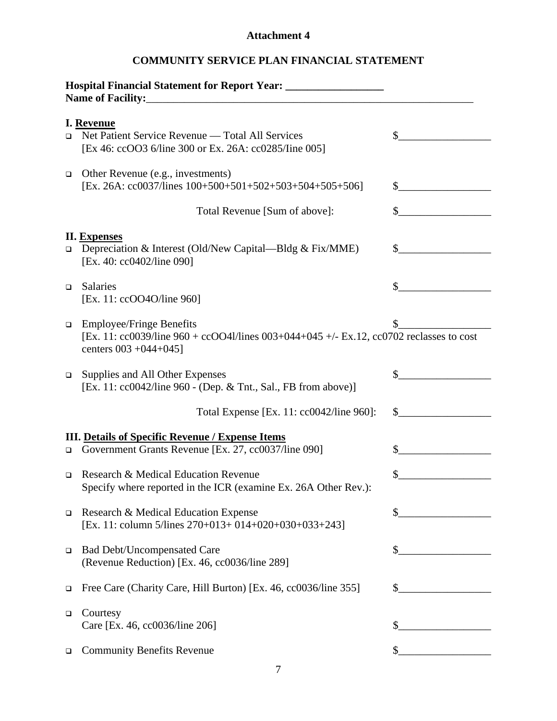# **COMMUNITY SERVICE PLAN FINANCIAL STATEMENT**

| Hospital Financial Statement for Report Year: ___________________________________ |                                                                                                                                                           |                                                                                                                     |
|-----------------------------------------------------------------------------------|-----------------------------------------------------------------------------------------------------------------------------------------------------------|---------------------------------------------------------------------------------------------------------------------|
| $\Box$                                                                            | I. Revenue<br>Net Patient Service Revenue — Total All Services<br>[Ex 46: ccOO3 6/line 300 or Ex. 26A: cc0285/line 005]                                   | \$                                                                                                                  |
| $\Box$                                                                            | Other Revenue (e.g., investments)<br>[Ex. 26A: cc0037/lines $100+500+501+502+503+504+505+506$ ]                                                           |                                                                                                                     |
|                                                                                   | Total Revenue [Sum of above]:                                                                                                                             |                                                                                                                     |
|                                                                                   | <b>II.</b> Expenses<br><b>Depreciation &amp; Interest (Old/New Capital—Bldg &amp; Fix/MME)</b><br>[Ex. 40: cc0402/line 090]                               | S.                                                                                                                  |
| $\Box$                                                                            | <b>Salaries</b><br>[Ex. 11: ccOO4O/line 960]                                                                                                              |                                                                                                                     |
| $\Box$                                                                            | <b>Employee/Fringe Benefits</b><br>[Ex. 11: cc0039/line 960 + ccOO41/lines 003+044+045 +/- Ex.12, cc0702 reclasses to cost<br>centers $003 + 044 + 045$ ] |                                                                                                                     |
| $\Box$                                                                            | Supplies and All Other Expenses<br>[Ex. 11: cc0042/line 960 - (Dep. & Tnt., Sal., FB from above)]                                                         | \$                                                                                                                  |
|                                                                                   | Total Expense [Ex. 11: cc0042/line 960]:                                                                                                                  | S.                                                                                                                  |
| $\Box$                                                                            | <b>III.</b> Details of Specific Revenue / Expense Items<br>Government Grants Revenue [Ex. 27, cc0037/line 090]                                            | S.                                                                                                                  |
| $\Box$                                                                            | Research & Medical Education Revenue<br>Specify where reported in the ICR (examine Ex. 26A Other Rev.):                                                   | \$                                                                                                                  |
| $\Box$                                                                            | Research & Medical Education Expense<br>[Ex. 11: column 5/lines 270+013+ 014+020+030+033+243]                                                             | \$                                                                                                                  |
| $\Box$                                                                            | <b>Bad Debt/Uncompensated Care</b><br>(Revenue Reduction) [Ex. 46, cc0036/line 289]                                                                       |                                                                                                                     |
| ❏                                                                                 | Free Care (Charity Care, Hill Burton) [Ex. 46, cc0036/line 355]                                                                                           | <u> 1989 - Jan Barat, prima populație de la proprietat de la proprietat de la proprietat de la proprietat de la</u> |
| □                                                                                 | Courtesy<br>Care [Ex. 46, cc0036/line 206]                                                                                                                | \$                                                                                                                  |
| □                                                                                 | <b>Community Benefits Revenue</b>                                                                                                                         |                                                                                                                     |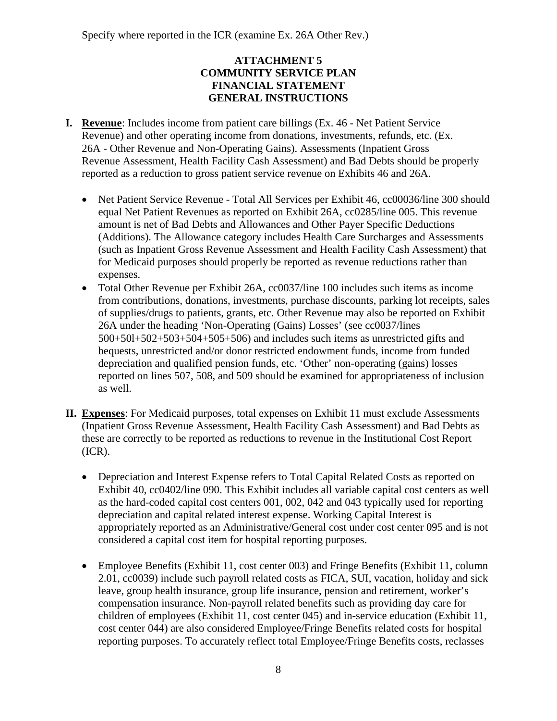Specify where reported in the ICR (examine Ex. 26A Other Rev.)

## **ATTACHMENT 5 COMMUNITY SERVICE PLAN FINANCIAL STATEMENT GENERAL INSTRUCTIONS**

- **I. Revenue**: Includes income from patient care billings (Ex. 46 Net Patient Service Revenue) and other operating income from donations, investments, refunds, etc. (Ex. 26A - Other Revenue and Non-Operating Gains). Assessments (Inpatient Gross Revenue Assessment, Health Facility Cash Assessment) and Bad Debts should be properly reported as a reduction to gross patient service revenue on Exhibits 46 and 26A.
	- Net Patient Service Revenue Total All Services per Exhibit 46, cc00036/line 300 should equal Net Patient Revenues as reported on Exhibit 26A, cc0285/line 005. This revenue amount is net of Bad Debts and Allowances and Other Payer Specific Deductions (Additions). The Allowance category includes Health Care Surcharges and Assessments (such as Inpatient Gross Revenue Assessment and Health Facility Cash Assessment) that for Medicaid purposes should properly be reported as revenue reductions rather than expenses.
	- Total Other Revenue per Exhibit 26A, cc0037/line 100 includes such items as income from contributions, donations, investments, purchase discounts, parking lot receipts, sales of supplies/drugs to patients, grants, etc. Other Revenue may also be reported on Exhibit 26A under the heading 'Non-Operating (Gains) Losses' (see cc0037/lines 500+50l+502+503+504+505+506) and includes such items as unrestricted gifts and bequests, unrestricted and/or donor restricted endowment funds, income from funded depreciation and qualified pension funds, etc. 'Other' non-operating (gains) losses reported on lines 507, 508, and 509 should be examined for appropriateness of inclusion as well.
- **II. Expenses**: For Medicaid purposes, total expenses on Exhibit 11 must exclude Assessments (Inpatient Gross Revenue Assessment, Health Facility Cash Assessment) and Bad Debts as these are correctly to be reported as reductions to revenue in the Institutional Cost Report (ICR).
	- Depreciation and Interest Expense refers to Total Capital Related Costs as reported on Exhibit 40, cc0402/line 090. This Exhibit includes all variable capital cost centers as well as the hard-coded capital cost centers 001, 002, 042 and 043 typically used for reporting depreciation and capital related interest expense. Working Capital Interest is appropriately reported as an Administrative/General cost under cost center 095 and is not considered a capital cost item for hospital reporting purposes.
	- Employee Benefits (Exhibit 11, cost center 003) and Fringe Benefits (Exhibit 11, column 2.01, cc0039) include such payroll related costs as FICA, SUI, vacation, holiday and sick leave, group health insurance, group life insurance, pension and retirement, worker's compensation insurance. Non-payroll related benefits such as providing day care for children of employees (Exhibit 11, cost center 045) and in-service education (Exhibit 11, cost center 044) are also considered Employee/Fringe Benefits related costs for hospital reporting purposes. To accurately reflect total Employee/Fringe Benefits costs, reclasses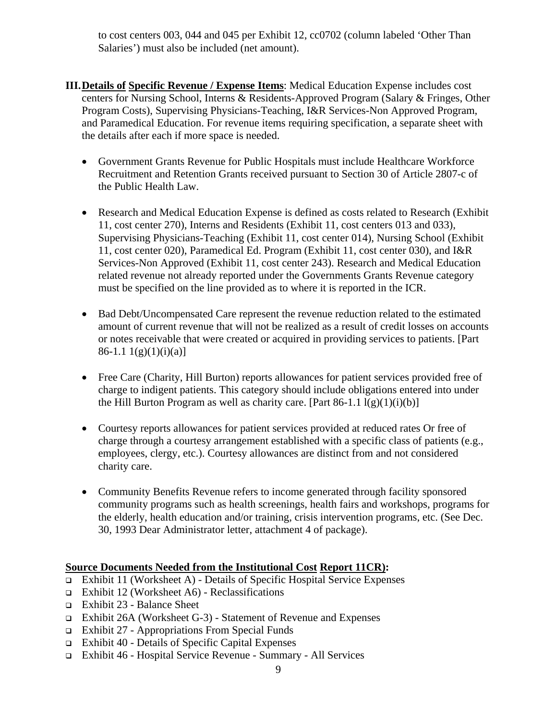to cost centers 003, 044 and 045 per Exhibit 12, cc0702 (column labeled 'Other Than Salaries') must also be included (net amount).

- **III.Details of Specific Revenue / Expense Items**: Medical Education Expense includes cost centers for Nursing School, Interns & Residents-Approved Program (Salary & Fringes, Other Program Costs), Supervising Physicians-Teaching, I&R Services-Non Approved Program, and Paramedical Education. For revenue items requiring specification, a separate sheet with the details after each if more space is needed.
	- Government Grants Revenue for Public Hospitals must include Healthcare Workforce Recruitment and Retention Grants received pursuant to Section 30 of Article 2807-c of the Public Health Law.
	- Research and Medical Education Expense is defined as costs related to Research (Exhibit 11, cost center 270), Interns and Residents (Exhibit 11, cost centers 013 and 033), Supervising Physicians-Teaching (Exhibit 11, cost center 014), Nursing School (Exhibit 11, cost center 020), Paramedical Ed. Program (Exhibit 11, cost center 030), and I&R Services-Non Approved (Exhibit 11, cost center 243). Research and Medical Education related revenue not already reported under the Governments Grants Revenue category must be specified on the line provided as to where it is reported in the ICR.
	- Bad Debt/Uncompensated Care represent the revenue reduction related to the estimated amount of current revenue that will not be realized as a result of credit losses on accounts or notes receivable that were created or acquired in providing services to patients. [Part  $86-1.1 \frac{1(g)(1)(i)(a)}{i}$
	- Free Care (Charity, Hill Burton) reports allowances for patient services provided free of charge to indigent patients. This category should include obligations entered into under the Hill Burton Program as well as charity care. [Part 86-1.1  $l(g)(1)(i)(b)$ ]
	- Courtesy reports allowances for patient services provided at reduced rates Or free of charge through a courtesy arrangement established with a specific class of patients (e.g., employees, clergy, etc.). Courtesy allowances are distinct from and not considered charity care.
	- Community Benefits Revenue refers to income generated through facility sponsored community programs such as health screenings, health fairs and workshops, programs for the elderly, health education and/or training, crisis intervention programs, etc. (See Dec. 30, 1993 Dear Administrator letter, attachment 4 of package).

# **Source Documents Needed from the Institutional Cost Report 11CR):**

- Exhibit 11 (Worksheet A) Details of Specific Hospital Service Expenses
- Exhibit 12 (Worksheet A6) Reclassifications
- Exhibit 23 Balance Sheet
- Exhibit 26A (Worksheet G-3) Statement of Revenue and Expenses
- Exhibit 27 Appropriations From Special Funds
- Exhibit 40 Details of Specific Capital Expenses
- Exhibit 46 Hospital Service Revenue Summary All Services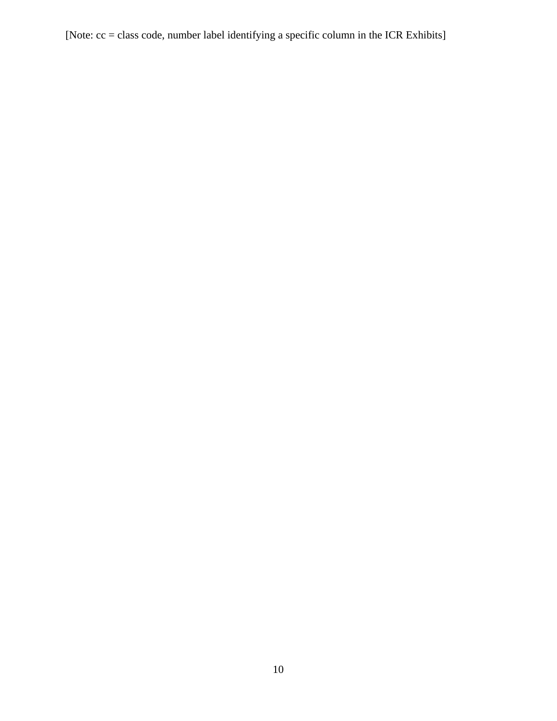[Note: cc = class code, number label identifying a specific column in the ICR Exhibits]